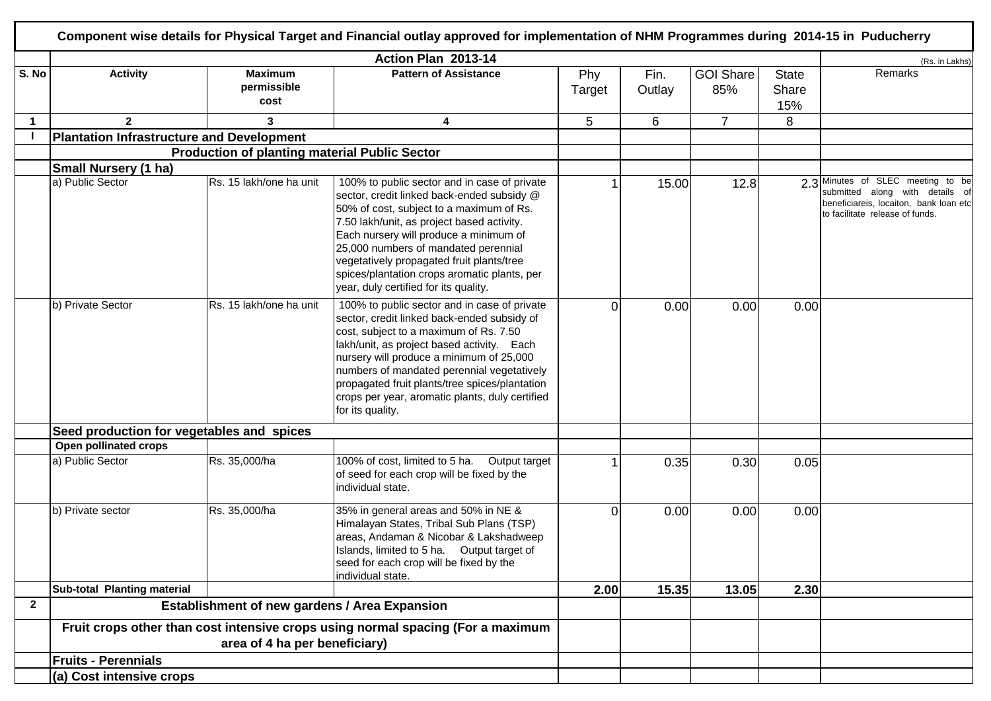|              |                                                      |                                                      |                                                                                                                                                                                                                                                                                                                                                                                                              | (Rs. in Lakhs)       |                |                         |                              |                                                                                                                                                   |
|--------------|------------------------------------------------------|------------------------------------------------------|--------------------------------------------------------------------------------------------------------------------------------------------------------------------------------------------------------------------------------------------------------------------------------------------------------------------------------------------------------------------------------------------------------------|----------------------|----------------|-------------------------|------------------------------|---------------------------------------------------------------------------------------------------------------------------------------------------|
| S. No        | <b>Activity</b>                                      | <b>Maximum</b><br>permissible<br>cost                | <b>Pattern of Assistance</b>                                                                                                                                                                                                                                                                                                                                                                                 | Phy<br><b>Target</b> | Fin.<br>Outlay | <b>GOI Share</b><br>85% | <b>State</b><br>Share<br>15% | Remarks                                                                                                                                           |
|              | $\overline{2}$                                       | $\mathbf{3}$                                         | 4                                                                                                                                                                                                                                                                                                                                                                                                            | 5                    | 6              | $\overline{7}$          | 8                            |                                                                                                                                                   |
|              | <b>Plantation Infrastructure and Development</b>     |                                                      |                                                                                                                                                                                                                                                                                                                                                                                                              |                      |                |                         |                              |                                                                                                                                                   |
|              |                                                      | <b>Production of planting material Public Sector</b> |                                                                                                                                                                                                                                                                                                                                                                                                              |                      |                |                         |                              |                                                                                                                                                   |
|              | <b>Small Nursery (1 ha)</b>                          |                                                      |                                                                                                                                                                                                                                                                                                                                                                                                              |                      |                |                         |                              |                                                                                                                                                   |
|              | a) Public Sector                                     | Rs. 15 lakh/one ha unit                              | 100% to public sector and in case of private<br>sector, credit linked back-ended subsidy @<br>50% of cost, subject to a maximum of Rs.<br>7.50 lakh/unit, as project based activity.<br>Each nursery will produce a minimum of<br>25,000 numbers of mandated perennial<br>vegetatively propagated fruit plants/tree<br>spices/plantation crops aromatic plants, per<br>year, duly certified for its quality. |                      | 15.00          | 12.8                    |                              | 2.3 Minutes of SLEC meeting to be<br>submitted along with details of<br>beneficiareis, locaiton, bank loan etc<br>to facilitate release of funds. |
|              | b) Private Sector                                    | Rs. 15 lakh/one ha unit                              | 100% to public sector and in case of private<br>sector, credit linked back-ended subsidy of<br>cost, subject to a maximum of Rs. 7.50<br>lakh/unit, as project based activity. Each<br>nursery will produce a minimum of 25,000<br>numbers of mandated perennial vegetatively<br>propagated fruit plants/tree spices/plantation<br>crops per year, aromatic plants, duly certified<br>for its quality.       | $\Omega$             | 0.00           | 0.00                    | 0.00                         |                                                                                                                                                   |
|              | Seed production for vegetables and spices            |                                                      |                                                                                                                                                                                                                                                                                                                                                                                                              |                      |                |                         |                              |                                                                                                                                                   |
|              | Open pollinated crops                                |                                                      |                                                                                                                                                                                                                                                                                                                                                                                                              |                      |                |                         |                              |                                                                                                                                                   |
|              | a) Public Sector                                     | Rs. 35,000/ha                                        | 100% of cost, limited to 5 ha.<br>Output target<br>of seed for each crop will be fixed by the<br>individual state.                                                                                                                                                                                                                                                                                           |                      | 0.35           | 0.30                    | 0.05                         |                                                                                                                                                   |
|              | b) Private sector                                    | Rs. 35,000/ha                                        | 35% in general areas and 50% in NE &<br>Himalayan States, Tribal Sub Plans (TSP)<br>areas, Andaman & Nicobar & Lakshadweep<br>Islands, limited to 5 ha. Output target of<br>seed for each crop will be fixed by the<br>individual state.                                                                                                                                                                     | $\Omega$             | 0.00           | 0.00                    | 0.00                         |                                                                                                                                                   |
|              | Sub-total Planting material                          |                                                      |                                                                                                                                                                                                                                                                                                                                                                                                              | 2.00                 | 15.35          | 13.05                   | 2.30                         |                                                                                                                                                   |
| $\mathbf{2}$ | <b>Establishment of new gardens / Area Expansion</b> |                                                      |                                                                                                                                                                                                                                                                                                                                                                                                              |                      |                |                         |                              |                                                                                                                                                   |
|              |                                                      | area of 4 ha per beneficiary)                        | Fruit crops other than cost intensive crops using normal spacing (For a maximum                                                                                                                                                                                                                                                                                                                              |                      |                |                         |                              |                                                                                                                                                   |
|              | <b>Fruits - Perennials</b>                           |                                                      |                                                                                                                                                                                                                                                                                                                                                                                                              |                      |                |                         |                              |                                                                                                                                                   |
|              |                                                      |                                                      |                                                                                                                                                                                                                                                                                                                                                                                                              |                      |                |                         |                              |                                                                                                                                                   |
|              | (a) Cost intensive crops                             |                                                      |                                                                                                                                                                                                                                                                                                                                                                                                              |                      |                |                         |                              |                                                                                                                                                   |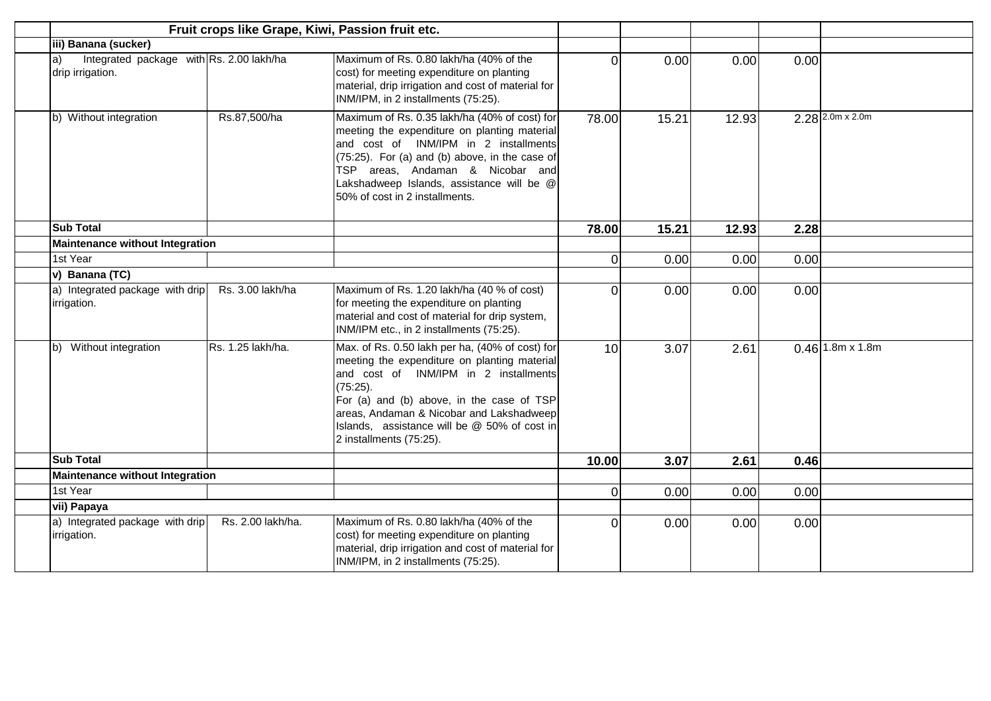|                                                                    | Fruit crops like Grape, Kiwi, Passion fruit etc. |                                                                                                                                                                                                                                                                                                                             |          |       |       |      |                           |
|--------------------------------------------------------------------|--------------------------------------------------|-----------------------------------------------------------------------------------------------------------------------------------------------------------------------------------------------------------------------------------------------------------------------------------------------------------------------------|----------|-------|-------|------|---------------------------|
| iii) Banana (sucker)                                               |                                                  |                                                                                                                                                                                                                                                                                                                             |          |       |       |      |                           |
| Integrated package with Rs. 2.00 lakh/ha<br>a)<br>drip irrigation. |                                                  | Maximum of Rs. 0.80 lakh/ha (40% of the<br>cost) for meeting expenditure on planting<br>material, drip irrigation and cost of material for<br>INM/IPM, in 2 installments (75:25).                                                                                                                                           | $\Omega$ | 0.00  | 0.00  | 0.00 |                           |
| b) Without integration                                             | Rs.87,500/ha                                     | Maximum of Rs. 0.35 lakh/ha (40% of cost) for<br>meeting the expenditure on planting material<br>and cost of INM/IPM in 2 installments<br>$(75:25)$ . For (a) and (b) above, in the case of<br>TSP areas, Andaman & Nicobar and<br>Lakshadweep Islands, assistance will be @<br>50% of cost in 2 installments.              | 78.00    | 15.21 | 12.93 |      | $2.28$ $2.0m \times 2.0m$ |
| <b>Sub Total</b>                                                   |                                                  |                                                                                                                                                                                                                                                                                                                             | 78.00    | 15.21 | 12.93 | 2.28 |                           |
| <b>Maintenance without Integration</b>                             |                                                  |                                                                                                                                                                                                                                                                                                                             |          |       |       |      |                           |
| 1st Year                                                           |                                                  |                                                                                                                                                                                                                                                                                                                             | $\Omega$ | 0.00  | 0.00  | 0.00 |                           |
| v) Banana (TC)                                                     |                                                  |                                                                                                                                                                                                                                                                                                                             |          |       |       |      |                           |
| a) Integrated package with drip<br>irrigation.                     | Rs. 3.00 lakh/ha                                 | Maximum of Rs. 1.20 lakh/ha (40 % of cost)<br>for meeting the expenditure on planting<br>material and cost of material for drip system,<br>INM/IPM etc., in 2 installments (75:25).                                                                                                                                         | $\Omega$ | 0.00  | 0.00  | 0.00 |                           |
| b) Without integration                                             | Rs. 1.25 lakh/ha.                                | Max. of Rs. 0.50 lakh per ha, (40% of cost) for<br>meeting the expenditure on planting material<br>and cost of INM/IPM in 2 installments<br>$(75:25)$ .<br>For (a) and (b) above, in the case of TSP<br>areas, Andaman & Nicobar and Lakshadweep<br>Islands, assistance will be @ 50% of cost in<br>2 installments (75:25). | 10       | 3.07  | 2.61  |      | $0.46$ 1.8m x 1.8m        |
| <b>Sub Total</b>                                                   |                                                  |                                                                                                                                                                                                                                                                                                                             | 10.00    | 3.07  | 2.61  | 0.46 |                           |
| <b>Maintenance without Integration</b>                             |                                                  |                                                                                                                                                                                                                                                                                                                             |          |       |       |      |                           |
| 1st Year                                                           |                                                  |                                                                                                                                                                                                                                                                                                                             | $\Omega$ | 0.00  | 0.00  | 0.00 |                           |
| vii) Papaya                                                        |                                                  |                                                                                                                                                                                                                                                                                                                             |          |       |       |      |                           |
| a) Integrated package with drip<br>irrigation.                     | Rs. 2.00 lakh/ha.                                | Maximum of Rs. 0.80 lakh/ha (40% of the<br>cost) for meeting expenditure on planting<br>material, drip irrigation and cost of material for<br>INM/IPM, in 2 installments (75:25).                                                                                                                                           | $\Omega$ | 0.00  | 0.00  | 0.00 |                           |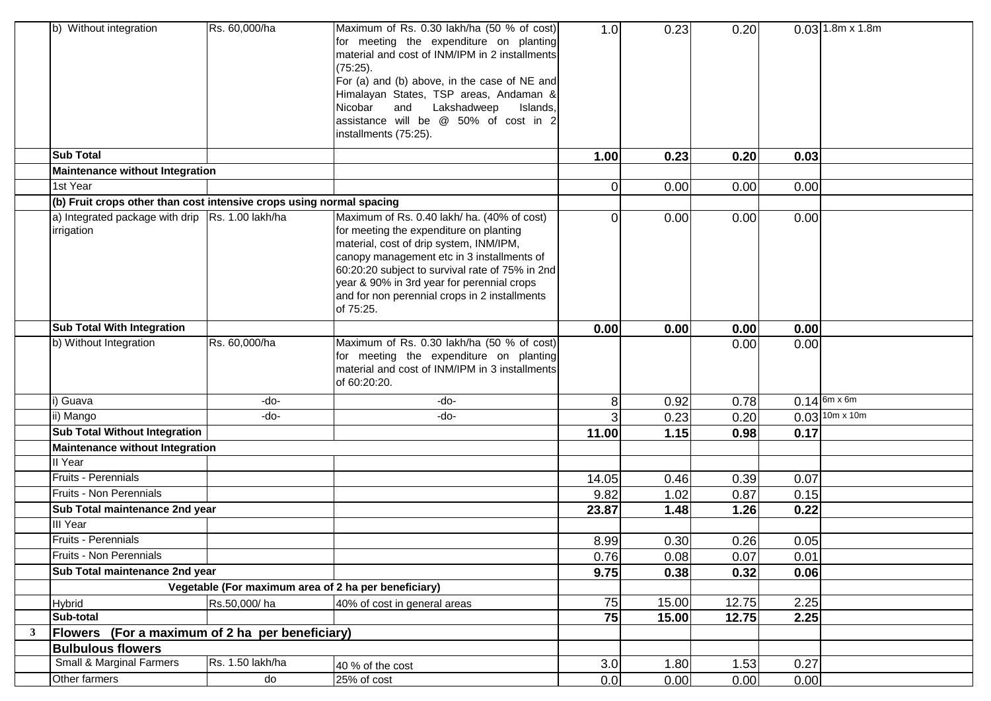|              | b) Without integration                                               | Rs. 60,000/ha                                        | Maximum of Rs. 0.30 lakh/ha (50 % of cost)<br>for meeting the expenditure on planting<br>material and cost of INM/IPM in 2 installments<br>(75:25).<br>For (a) and (b) above, in the case of NE and<br>Himalayan States, TSP areas, Andaman &<br>Nicobar<br>Lakshadweep<br>and<br>Islands,<br>assistance will be @ 50% of cost in 2<br>installments (75:25). | 1.0            | 0.23  | 0.20  |      | $0.03$ 1.8m x 1.8m             |
|--------------|----------------------------------------------------------------------|------------------------------------------------------|--------------------------------------------------------------------------------------------------------------------------------------------------------------------------------------------------------------------------------------------------------------------------------------------------------------------------------------------------------------|----------------|-------|-------|------|--------------------------------|
|              | <b>Sub Total</b>                                                     |                                                      |                                                                                                                                                                                                                                                                                                                                                              | 1.00           | 0.23  | 0.20  | 0.03 |                                |
|              | <b>Maintenance without Integration</b>                               |                                                      |                                                                                                                                                                                                                                                                                                                                                              |                |       |       |      |                                |
|              | 1st Year                                                             |                                                      |                                                                                                                                                                                                                                                                                                                                                              | $\overline{0}$ | 0.00  | 0.00  | 0.00 |                                |
|              | (b) Fruit crops other than cost intensive crops using normal spacing |                                                      |                                                                                                                                                                                                                                                                                                                                                              |                |       |       |      |                                |
|              | a) Integrated package with drip Rs. 1.00 lakh/ha<br>irrigation       |                                                      | Maximum of Rs. 0.40 lakh/ ha. (40% of cost)<br>for meeting the expenditure on planting<br>material, cost of drip system, INM/IPM,<br>canopy management etc in 3 installments of<br>60:20:20 subject to survival rate of 75% in 2nd<br>year & 90% in 3rd year for perennial crops<br>and for non perennial crops in 2 installments<br>of 75:25.               | Οl             | 0.00  | 0.00  | 0.00 |                                |
|              | <b>Sub Total With Integration</b>                                    |                                                      |                                                                                                                                                                                                                                                                                                                                                              | 0.00           | 0.00  | 0.00  | 0.00 |                                |
|              | b) Without Integration                                               | Rs. 60,000/ha                                        | Maximum of Rs. 0.30 lakh/ha (50 % of cost)<br>for meeting the expenditure on planting<br>material and cost of INM/IPM in 3 installments<br>of 60:20:20.                                                                                                                                                                                                      |                |       | 0.00  | 0.00 |                                |
|              | Guava                                                                | -do-                                                 | -do-                                                                                                                                                                                                                                                                                                                                                         | 8 <sup>1</sup> | 0.92  | 0.78  |      | $0.14 \sqrt{6m \times 6m}$     |
|              | ii) Mango                                                            | -do-                                                 | -do-                                                                                                                                                                                                                                                                                                                                                         | $\overline{3}$ | 0.23  | 0.20  |      | $0.03$ $\sqrt{10m \times 10m}$ |
|              | <b>Sub Total Without Integration</b>                                 |                                                      |                                                                                                                                                                                                                                                                                                                                                              | 11.00          | 1.15  | 0.98  | 0.17 |                                |
|              | <b>Maintenance without Integration</b>                               |                                                      |                                                                                                                                                                                                                                                                                                                                                              |                |       |       |      |                                |
|              | II Year                                                              |                                                      |                                                                                                                                                                                                                                                                                                                                                              |                |       |       |      |                                |
|              | Fruits - Perennials                                                  |                                                      |                                                                                                                                                                                                                                                                                                                                                              | 14.05          | 0.46  | 0.39  | 0.07 |                                |
|              | <b>Fruits - Non Perennials</b>                                       |                                                      |                                                                                                                                                                                                                                                                                                                                                              | 9.82           | 1.02  | 0.87  | 0.15 |                                |
|              | Sub Total maintenance 2nd year                                       |                                                      |                                                                                                                                                                                                                                                                                                                                                              | 23.87          | 1.48  | 1.26  | 0.22 |                                |
|              | III Year                                                             |                                                      |                                                                                                                                                                                                                                                                                                                                                              |                |       |       |      |                                |
|              | Fruits - Perennials                                                  |                                                      |                                                                                                                                                                                                                                                                                                                                                              | 8.99           | 0.30  | 0.26  | 0.05 |                                |
|              | Fruits - Non Perennials                                              |                                                      |                                                                                                                                                                                                                                                                                                                                                              | 0.76           | 0.08  | 0.07  | 0.01 |                                |
|              | Sub Total maintenance 2nd year                                       |                                                      |                                                                                                                                                                                                                                                                                                                                                              | 9.75           | 0.38  | 0.32  | 0.06 |                                |
|              |                                                                      | Vegetable (For maximum area of 2 ha per beneficiary) |                                                                                                                                                                                                                                                                                                                                                              |                |       |       |      |                                |
|              | Hybrid                                                               | Rs.50,000/ha                                         | 40% of cost in general areas                                                                                                                                                                                                                                                                                                                                 | 75             | 15.00 | 12.75 | 2.25 |                                |
|              | Sub-total                                                            |                                                      |                                                                                                                                                                                                                                                                                                                                                              | 75             | 15.00 | 12.75 | 2.25 |                                |
| $\mathbf{3}$ | Flowers (For a maximum of 2 ha per beneficiary)                      |                                                      |                                                                                                                                                                                                                                                                                                                                                              |                |       |       |      |                                |
|              | <b>Bulbulous flowers</b>                                             |                                                      |                                                                                                                                                                                                                                                                                                                                                              |                |       |       |      |                                |
|              | Small & Marginal Farmers                                             | Rs. 1.50 lakh/ha                                     | 40 % of the cost                                                                                                                                                                                                                                                                                                                                             | 3.0            | 1.80  | 1.53  | 0.27 |                                |
|              | Other farmers                                                        | do                                                   | 25% of cost                                                                                                                                                                                                                                                                                                                                                  | 0.0            | 0.00  | 0.00  | 0.00 |                                |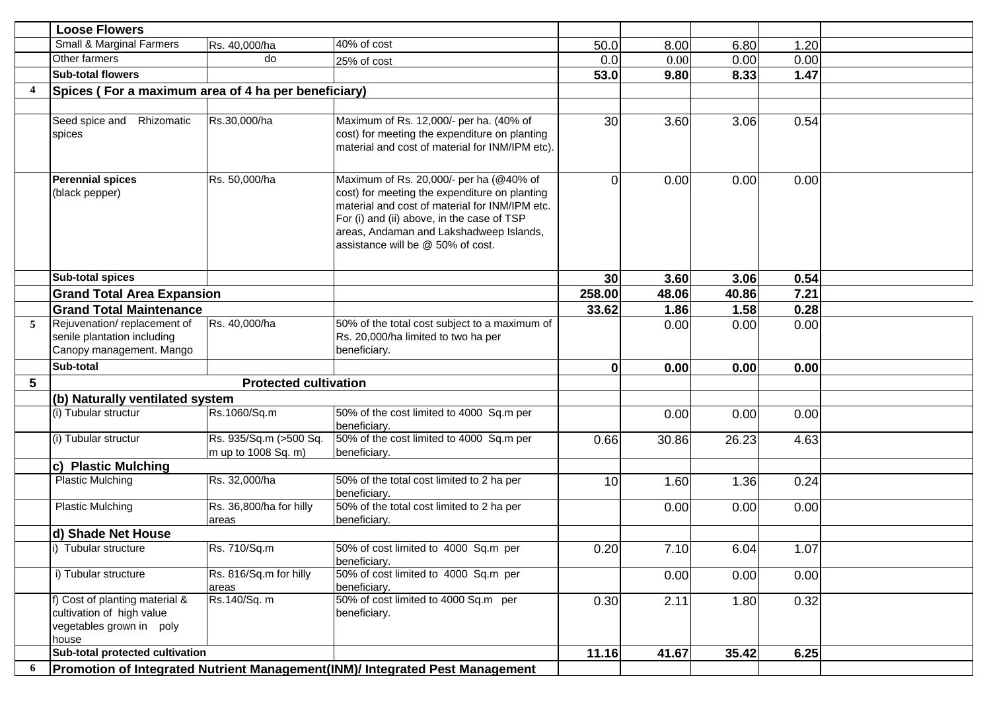|   | <b>Loose Flowers</b>                                                                             |                                               |                                                                                                                                                                                                                                                                          |          |       |       |      |  |
|---|--------------------------------------------------------------------------------------------------|-----------------------------------------------|--------------------------------------------------------------------------------------------------------------------------------------------------------------------------------------------------------------------------------------------------------------------------|----------|-------|-------|------|--|
|   | Small & Marginal Farmers                                                                         | Rs. 40,000/ha                                 | 40% of cost                                                                                                                                                                                                                                                              | 50.0     | 8.00  | 6.80  | 1.20 |  |
|   | Other farmers                                                                                    | do                                            | 25% of cost                                                                                                                                                                                                                                                              | 0.0      | 0.00  | 0.00  | 0.00 |  |
|   | <b>Sub-total flowers</b>                                                                         |                                               |                                                                                                                                                                                                                                                                          | 53.0     | 9.80  | 8.33  | 1.47 |  |
|   | Spices (For a maximum area of 4 ha per beneficiary)                                              |                                               |                                                                                                                                                                                                                                                                          |          |       |       |      |  |
|   |                                                                                                  |                                               |                                                                                                                                                                                                                                                                          |          |       |       |      |  |
|   | Rhizomatic<br>Seed spice and<br>spices                                                           | Rs.30,000/ha                                  | Maximum of Rs. 12,000/- per ha. (40% of<br>cost) for meeting the expenditure on planting<br>material and cost of material for INM/IPM etc).                                                                                                                              | 30       | 3.60  | 3.06  | 0.54 |  |
|   | <b>Perennial spices</b><br>(black pepper)                                                        | Rs. 50,000/ha                                 | Maximum of Rs. 20,000/- per ha (@40% of<br>cost) for meeting the expenditure on planting<br>material and cost of material for INM/IPM etc.<br>For (i) and (ii) above, in the case of TSP<br>areas, Andaman and Lakshadweep Islands,<br>assistance will be @ 50% of cost. | $\Omega$ | 0.00  | 0.00  | 0.00 |  |
|   | <b>Sub-total spices</b>                                                                          |                                               |                                                                                                                                                                                                                                                                          | 30       | 3.60  | 3.06  | 0.54 |  |
|   | <b>Grand Total Area Expansion</b>                                                                |                                               |                                                                                                                                                                                                                                                                          | 258.00   | 48.06 | 40.86 | 7.21 |  |
|   | <b>Grand Total Maintenance</b>                                                                   |                                               |                                                                                                                                                                                                                                                                          | 33.62    | 1.86  | 1.58  | 0.28 |  |
| 5 | Rejuvenation/replacement of<br>senile plantation including<br>Canopy management. Mango           | Rs. 40,000/ha                                 | 50% of the total cost subject to a maximum of<br>Rs. 20,000/ha limited to two ha per<br>beneficiary.                                                                                                                                                                     |          | 0.00  | 0.00  | 0.00 |  |
|   | Sub-total                                                                                        |                                               |                                                                                                                                                                                                                                                                          | $\bf{0}$ | 0.00  | 0.00  | 0.00 |  |
| 5 |                                                                                                  | <b>Protected cultivation</b>                  |                                                                                                                                                                                                                                                                          |          |       |       |      |  |
|   | (b) Naturally ventilated system                                                                  |                                               |                                                                                                                                                                                                                                                                          |          |       |       |      |  |
|   | (i) Tubular structur                                                                             | Rs.1060/Sq.m                                  | 50% of the cost limited to 4000 Sq.m per<br>beneficiary.                                                                                                                                                                                                                 |          | 0.00  | 0.00  | 0.00 |  |
|   | (i) Tubular structur                                                                             | Rs. 935/Sq.m (>500 Sq.<br>m up to 1008 Sq. m) | 50% of the cost limited to 4000 Sq.m per<br>beneficiary.                                                                                                                                                                                                                 | 0.66     | 30.86 | 26.23 | 4.63 |  |
|   | c) Plastic Mulching                                                                              |                                               |                                                                                                                                                                                                                                                                          |          |       |       |      |  |
|   | <b>Plastic Mulching</b>                                                                          | Rs. 32,000/ha                                 | 50% of the total cost limited to 2 ha per<br>beneficiary.                                                                                                                                                                                                                | 10       | 1.60  | 1.36  | 0.24 |  |
|   | <b>Plastic Mulching</b>                                                                          | Rs. 36,800/ha for hilly<br>areas              | 50% of the total cost limited to 2 ha per<br>beneficiary.                                                                                                                                                                                                                |          | 0.00  | 0.00  | 0.00 |  |
|   | d) Shade Net House                                                                               |                                               |                                                                                                                                                                                                                                                                          |          |       |       |      |  |
|   | i) Tubular structure                                                                             | Rs. 710/Sq.m                                  | 50% of cost limited to 4000 Sq.m per<br>beneficiary.                                                                                                                                                                                                                     | 0.20     | 7.10  | 6.04  | 1.07 |  |
|   | i) Tubular structure                                                                             | Rs. 816/Sq.m for hilly<br>areas               | 50% of cost limited to 4000 Sq.m per<br>beneficiary.                                                                                                                                                                                                                     |          | 0.00  | 0.00  | 0.00 |  |
|   | f) Cost of planting material &<br>cultivation of high value<br>vegetables grown in poly<br>house | Rs.140/Sq. m                                  | 50% of cost limited to 4000 Sq.m per<br>beneficiary.                                                                                                                                                                                                                     | 0.30     | 2.11  | 1.80  | 0.32 |  |
|   | Sub-total protected cultivation                                                                  |                                               |                                                                                                                                                                                                                                                                          | 11.16    | 41.67 | 35.42 | 6.25 |  |
|   |                                                                                                  |                                               | Promotion of Integrated Nutrient Management(INM)/ Integrated Pest Management                                                                                                                                                                                             |          |       |       |      |  |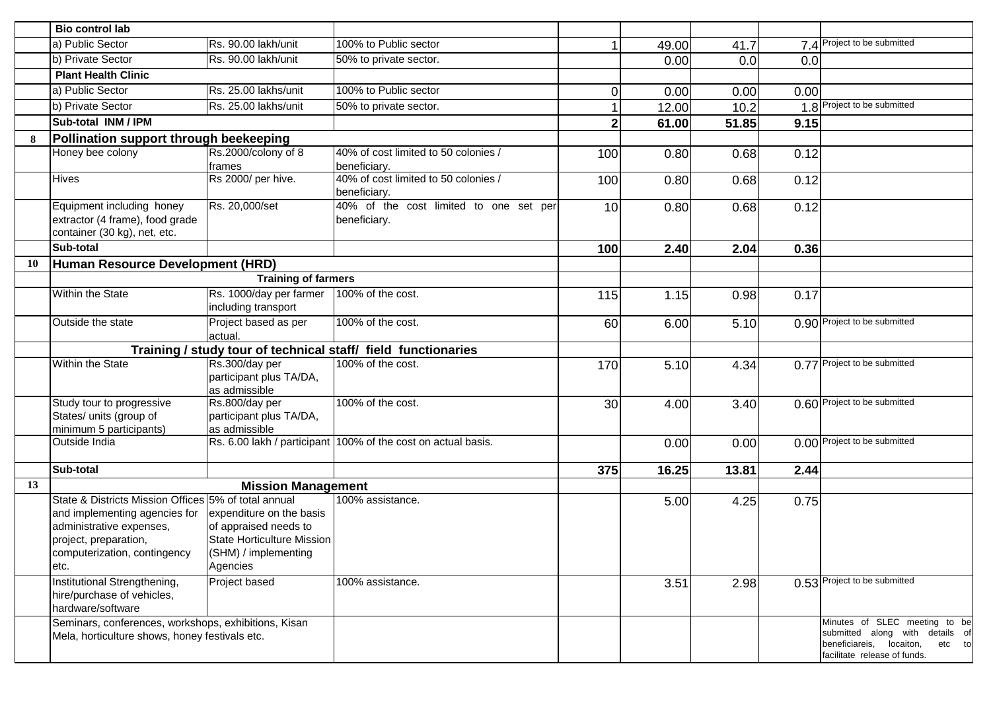|    | <b>Bio control lab</b>                                       |                                                           |                                                               |                |       |       |      |                                                                       |
|----|--------------------------------------------------------------|-----------------------------------------------------------|---------------------------------------------------------------|----------------|-------|-------|------|-----------------------------------------------------------------------|
|    | a) Public Sector                                             | Rs. 90.00 lakh/unit                                       | 100% to Public sector                                         |                | 49.00 | 41.7  |      | 7.4 Project to be submitted                                           |
|    | b) Private Sector                                            | Rs. 90.00 lakh/unit                                       | 50% to private sector.                                        |                | 0.00  | 0.0   | 0.0  |                                                                       |
|    | <b>Plant Health Clinic</b>                                   |                                                           |                                                               |                |       |       |      |                                                                       |
|    | a) Public Sector                                             | Rs. 25.00 lakhs/unit                                      | 100% to Public sector                                         | $\Omega$       | 0.00  | 0.00  | 0.00 |                                                                       |
|    | b) Private Sector                                            | Rs. 25.00 lakhs/unit                                      | 50% to private sector.                                        |                | 12.00 | 10.2  |      | 1.8 Project to be submitted                                           |
|    | Sub-total INM / IPM                                          |                                                           |                                                               | 2 <sup>1</sup> | 61.00 | 51.85 | 9.15 |                                                                       |
| 8  | Pollination support through beekeeping                       |                                                           |                                                               |                |       |       |      |                                                                       |
|    | Honey bee colony                                             | Rs.2000/colony of 8                                       | 40% of cost limited to 50 colonies /                          | 100            | 0.80  | 0.68  | 0.12 |                                                                       |
|    |                                                              | frames                                                    | beneficiary.<br>40% of cost limited to 50 colonies /          |                |       |       |      |                                                                       |
|    | Hives                                                        | Rs 2000/ per hive.                                        | beneficiary.                                                  | 100            | 0.80  | 0.68  | 0.12 |                                                                       |
|    | Equipment including honey<br>extractor (4 frame), food grade | Rs. 20,000/set                                            | 40% of the cost limited to one set per<br>beneficiary.        | 10             | 0.80  | 0.68  | 0.12 |                                                                       |
|    | container (30 kg), net, etc.                                 |                                                           |                                                               |                |       |       |      |                                                                       |
|    | Sub-total                                                    |                                                           |                                                               | 100            | 2.40  | 2.04  | 0.36 |                                                                       |
| 10 | Human Resource Development (HRD)                             |                                                           |                                                               |                |       |       |      |                                                                       |
|    |                                                              | <b>Training of farmers</b>                                |                                                               |                |       |       |      |                                                                       |
|    | Within the State                                             | Rs. 1000/day per farmer<br>including transport            | 100% of the cost.                                             | 115            | 1.15  | 0.98  | 0.17 |                                                                       |
|    | Outside the state                                            | Project based as per<br>actual.                           | 100% of the cost.                                             | 60             | 6.00  | 5.10  |      | 0.90 Project to be submitted                                          |
|    |                                                              |                                                           | Training / study tour of technical staff/ field functionaries |                |       |       |      |                                                                       |
|    | Within the State                                             | Rs.300/day per                                            | 100% of the cost.                                             | 170            | 5.10  | 4.34  |      | 0.77 Project to be submitted                                          |
|    |                                                              | participant plus TA/DA,<br>as admissible                  |                                                               |                |       |       |      |                                                                       |
|    | Study tour to progressive                                    | Rs.800/day per                                            | 100% of the cost.                                             | 30             | 4.00  | 3.40  |      | 0.60 Project to be submitted                                          |
|    | States/ units (group of                                      | participant plus TA/DA,                                   |                                                               |                |       |       |      |                                                                       |
|    | minimum 5 participants)                                      | as admissible                                             |                                                               |                |       |       |      | 0.00 Project to be submitted                                          |
|    | Outside India                                                |                                                           | Rs. 6.00 lakh / participant 100% of the cost on actual basis. |                | 0.00  | 0.00  |      |                                                                       |
|    | Sub-total                                                    |                                                           |                                                               | 375            | 16.25 | 13.81 | 2.44 |                                                                       |
| 13 |                                                              | <b>Mission Management</b>                                 |                                                               |                |       |       |      |                                                                       |
|    | State & Districts Mission Offices 5% of total annual         |                                                           | 100% assistance.                                              |                | 5.00  | 4.25  | 0.75 |                                                                       |
|    | and implementing agencies for                                | expenditure on the basis                                  |                                                               |                |       |       |      |                                                                       |
|    | administrative expenses,                                     | of appraised needs to                                     |                                                               |                |       |       |      |                                                                       |
|    | project, preparation,                                        | <b>State Horticulture Mission</b><br>(SHM) / implementing |                                                               |                |       |       |      |                                                                       |
|    | computerization, contingency<br>etc.                         | Agencies                                                  |                                                               |                |       |       |      |                                                                       |
|    | Institutional Strengthening,                                 | Project based                                             | 100% assistance.                                              |                | 3.51  | 2.98  |      | 0.53 Project to be submitted                                          |
|    | hire/purchase of vehicles,                                   |                                                           |                                                               |                |       |       |      |                                                                       |
|    | hardware/software                                            |                                                           |                                                               |                |       |       |      |                                                                       |
|    | Seminars, conferences, workshops, exhibitions, Kisan         |                                                           |                                                               |                |       |       |      | Minutes of SLEC meeting to be                                         |
|    | Mela, horticulture shows, honey festivals etc.               |                                                           |                                                               |                |       |       |      | submitted along with details of<br>beneficiareis, locaiton,<br>etc to |
|    |                                                              |                                                           |                                                               |                |       |       |      | facilitate release of funds.                                          |